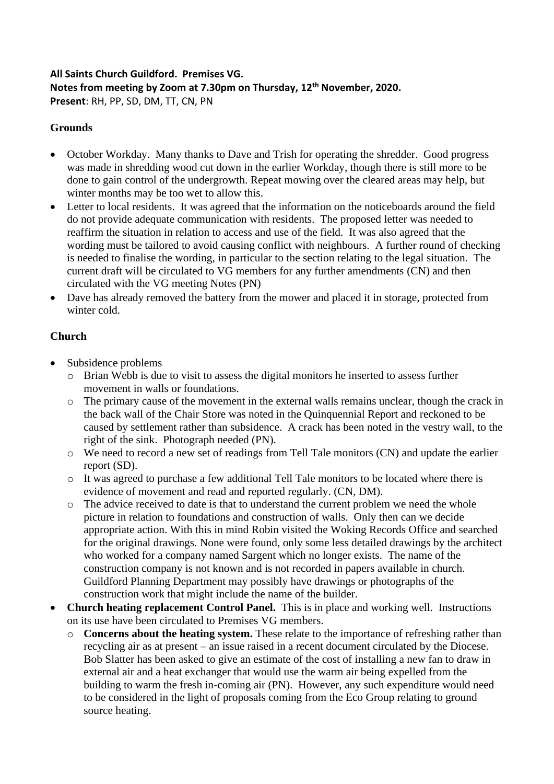#### **All Saints Church Guildford. Premises VG. Notes from meeting by Zoom at 7.30pm on Thursday, 12th November, 2020. Present**: RH, PP, SD, DM, TT, CN, PN

### **Grounds**

- October Workday. Many thanks to Dave and Trish for operating the shredder. Good progress was made in shredding wood cut down in the earlier Workday, though there is still more to be done to gain control of the undergrowth. Repeat mowing over the cleared areas may help, but winter months may be too wet to allow this.
- Letter to local residents. It was agreed that the information on the noticeboards around the field do not provide adequate communication with residents. The proposed letter was needed to reaffirm the situation in relation to access and use of the field. It was also agreed that the wording must be tailored to avoid causing conflict with neighbours. A further round of checking is needed to finalise the wording, in particular to the section relating to the legal situation. The current draft will be circulated to VG members for any further amendments (CN) and then circulated with the VG meeting Notes (PN)
- Dave has already removed the battery from the mower and placed it in storage, protected from winter cold.

#### **Church**

- Subsidence problems
	- o Brian Webb is due to visit to assess the digital monitors he inserted to assess further movement in walls or foundations.
	- o The primary cause of the movement in the external walls remains unclear, though the crack in the back wall of the Chair Store was noted in the Quinquennial Report and reckoned to be caused by settlement rather than subsidence. A crack has been noted in the vestry wall, to the right of the sink. Photograph needed (PN).
	- o We need to record a new set of readings from Tell Tale monitors (CN) and update the earlier report (SD).
	- o It was agreed to purchase a few additional Tell Tale monitors to be located where there is evidence of movement and read and reported regularly. (CN, DM).
	- o The advice received to date is that to understand the current problem we need the whole picture in relation to foundations and construction of walls. Only then can we decide appropriate action. With this in mind Robin visited the Woking Records Office and searched for the original drawings. None were found, only some less detailed drawings by the architect who worked for a company named Sargent which no longer exists. The name of the construction company is not known and is not recorded in papers available in church. Guildford Planning Department may possibly have drawings or photographs of the construction work that might include the name of the builder.
- **Church heating replacement Control Panel.** This is in place and working well. Instructions on its use have been circulated to Premises VG members.
	- o **Concerns about the heating system.** These relate to the importance of refreshing rather than recycling air as at present – an issue raised in a recent document circulated by the Diocese. Bob Slatter has been asked to give an estimate of the cost of installing a new fan to draw in external air and a heat exchanger that would use the warm air being expelled from the building to warm the fresh in-coming air (PN). However, any such expenditure would need to be considered in the light of proposals coming from the Eco Group relating to ground source heating.